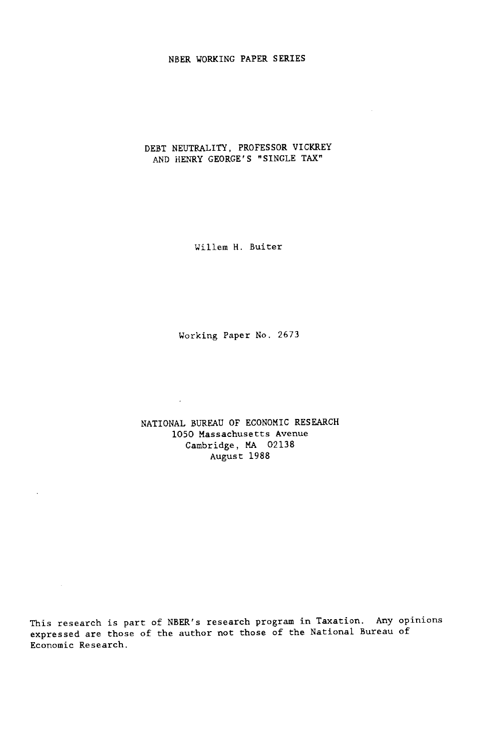### NBER WORKING PAPER SERIES

## DEBT NEUTRALITY, PROFESSOR VICKREY AND HENRY GEORGE'S "SINGLE TAX"

Wiliem H. Buiter

Working Paper No. <sup>2673</sup>

NATIONAL BUREAU OF ECONOMIC RESEARCH 1050 Massachusetts Avenue Cambridge, MA <sup>02138</sup>August 1988

 $\sim 10^{-1}$ 

 $\mathcal{L}$ 

This research is part of NBER's research program in Taxation. Any opinions expressed are those of the author not those of the National Bureau of Economic Research.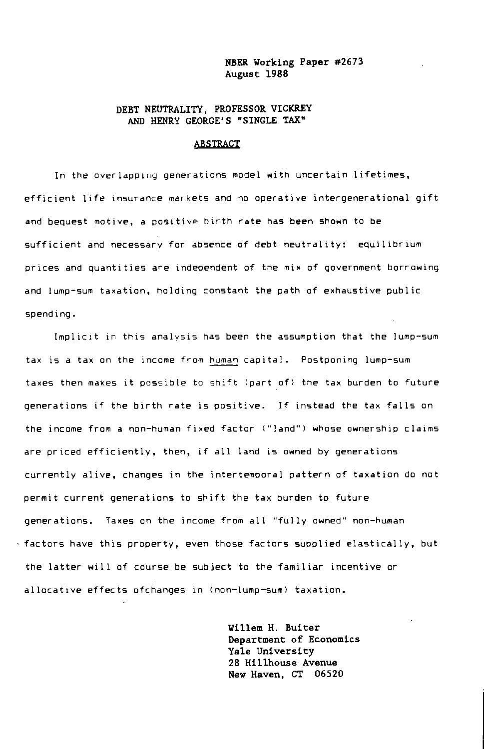#### NBER Working Paper #2673 August <sup>1988</sup>

### DEBT NEUTRALITY, PROFESSOR VICKREY AND HENRY GEORGE'S "SINGLE TAX"

#### ABSTRACT

In the overlapping generations model with uncertain lifetimes, efficient life insurance markets and no operative intergenerational gift and bequest motive, a positive birth rate has been shown to be sufficient and necessary for absence of debt neutrality: equilibrium prices and quantities are independent of the mix of government borrowing and lump—sum taxation, holding constant the path of exhaustive public spending.

Implicit in this analysis has been the assumption that the lump—sum tax is a tax on the income from human capital. Postponing lump—sum taxes then makes it possible to shift (part of) the tax burden to future generations if the birth rate is positive. If instead the tax falls on the income from a non-human fixed factor ("land") whose ownership claims are priced efficiently, then, if all land is owned by generations currently alive, changes in the intertemporal pattern of taxation do not permit current generations to shift the tax burden to future generations. Taxes on the income from all "fully owned" non-human - factors have this property, even those factors supplied elastically, but the latter will of course be subject to the familiar incentive or allocative effects ofchanges in (non-lump-sum) taxation.

> Willem H. Buiter Department of Economics Yale University 28 Hilihouse Avenue New Haven, CT 06520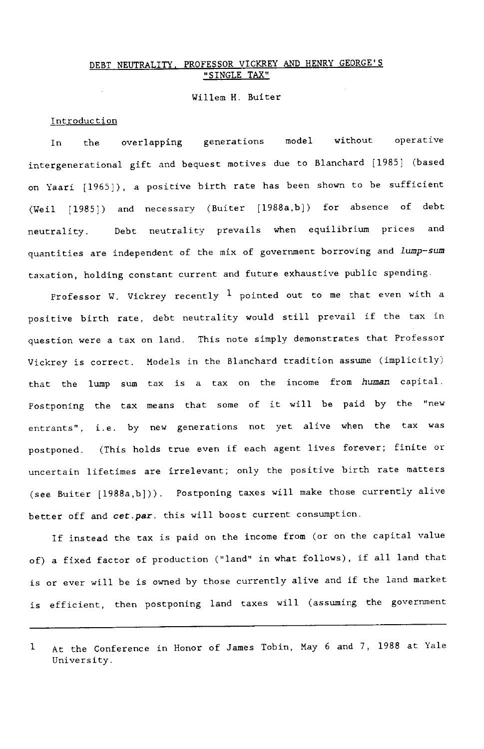# DEBT NEUTRALITY, PROFESSOR VICKREY AND HENRY GEORGE'S SINGLE TAX"

### Willem H. Buiter

### Introduction

 $\sim$ 

In the overlapping generations model without operative intergenerational gift and bequest motives due to Blanchard [1985] (based on Yaari [1965]), a positive birth rate has been shown to be sufficient (Well [1985]) and necessary (Buiter [1988a,b]) for absence of debt neutrality. Debt neutrality prevails when equilibrium prices an<sup>d</sup> quantities are independent of the mix of government borrowing and lump-sum taxation, holding constant current and future exhaustive public spending.

Professor W. Vickrey recently  $1$  pointed out to me that even with a positive birth rate, debt neutrality would still prevail if the tax in question were a tax on land. This note simply demonstrates that Professor Vickrey is correct. Models in the Blanchard tradition assume (implicitly) that the lump sum tax is a tax on the income from human capital. Postponing the tax means that some of it will be paid by the "new entrants", i.e. by new generations not yet alive when the tax was postponed. (This holds true even if each agent lives forever; finite or uncertain lifetimes are irrelevant; only the positive birth rate matters (see Buiter [1988a,b])). Postponing taxes will make those currently alive better off and cet.par. this will boost current consumption.

If instead the tax is paid on the income from (or on the capital value of) a fixed factor of production ("land" in what follows), if all land that is or ever will be is owned by those currently alive and if the land market is efficient, then postponing land taxes will (assuming the government

<sup>1</sup> At the Conference in Honor of James Tobin, May 6 and 7, 1988 at Yale University.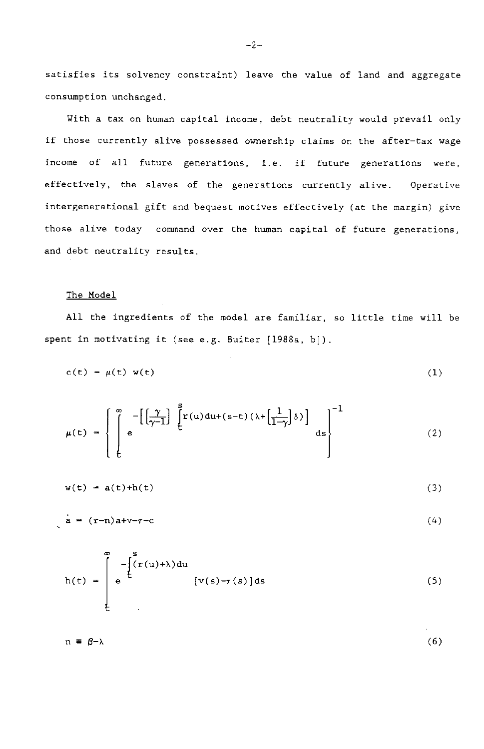satisfies its solvency constraint) leave the value of land and aggregate consumption unchanged.

With a tax on human capital income, debt neutrality would prevail only if those currently alive possessed ownership claims on the after—tax wage income of all future generations, i.e. if future generations were, effectively, the slaves of the generations currently alive. Operative intergenerational gift and bequest motives effectively (at the margin) give those alive today command over the human capital of future generations, and debt neutrality results.

# The Model

All the ingredients of the model are familiar, so little time will be spent in motivating it (see e.g. Buiter [1988a, b]).

$$
c(t) = \mu(t) w(t) \tag{1}
$$

$$
\mu(t) = \left\{ \int_{t}^{\infty} e^{-\left[\left(\frac{\gamma}{\gamma-1}\right)^{\alpha}\int_{t}^{s} \left[r(u) \, du + (s-t)\left(\lambda + \left(\frac{1}{1-\gamma}\right)\delta\right)\right]} ds \right\}^{-1} \tag{2}
$$

$$
w(t) = a(t) + h(t) \tag{3}
$$

$$
a = (r-n)a + v-r-c \tag{4}
$$

$$
h(t) = \int_{t}^{\infty} e^{-\int_{t}^{s} (r(u)+\lambda) du} [v(s)-r(s)] ds
$$
 (5)

 $n = \beta - \lambda$  (6)

—2—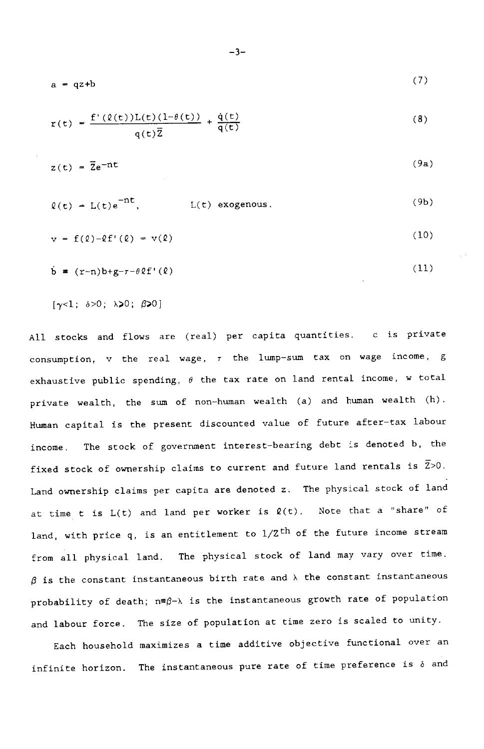$$
a = qz + b \tag{7}
$$

$$
r(t) = \frac{f'(\ell(t))L(t)(1-\theta(t))}{q(t)\overline{Z}} + \frac{\dot{q}(t)}{q(t)}
$$
(8)

$$
z(t) = \overline{z}e^{-nt}
$$
 (9a)

$$
\ell(t) = L(t)e^{-nt}, \qquad L(t) \text{ exogenous.} \qquad (9b)
$$

$$
v = f(\ell) - \ell f'(\ell) = v(\ell) \tag{10}
$$

$$
\dot{\mathbf{b}} = (\mathbf{r} - \mathbf{n}) \mathbf{b} + \mathbf{g} - \mathbf{r} - \theta \mathbf{L} \mathbf{f}'(\mathbf{\ell}) \tag{11}
$$

 $[\gamma<1; \delta>0; \lambda>0; \beta>0]$ 

All stocks and flows are (real) per capita quantities. c is private consumption,  $v$  the real wage,  $\tau$  the lump-sum tax on wage income, g exhaustive public spending,  $\theta$  the tax rate on land rental income, w total private wealth, the sum of non—human wealth (a) and human wealth (h). Human capital is the present discounted value of future after—tax labour income. The stock of government interest—bearing debt is denoted b, the fixed stock of ownership claims to current and future land rentals is  $\bar{Z} > 0$ . Land ownership claims per capita are denoted z. The physical stock of land at time t is  $L(t)$  and land per worker is  $\ell(t)$ . Note that a "share" of land, with price q, is an entitlement to  $1/\mathrm{Z}^{\text{th}}$  of the future income stream from all physical land. The physical stock of land may vary over time.  $\beta$  is the constant instantaneous birth rate and  $\lambda$  the constant instantaneous probability of death;  $n \equiv \beta - \lambda$  is the instantaneous growth rate of population and labour force. The size of population at time zero is scaled to unity.

Each household maximizes a time additive objective functional over an infinite horizon. The instantaneous pure rate of time preference is  $\delta$  and

$$
-3-
$$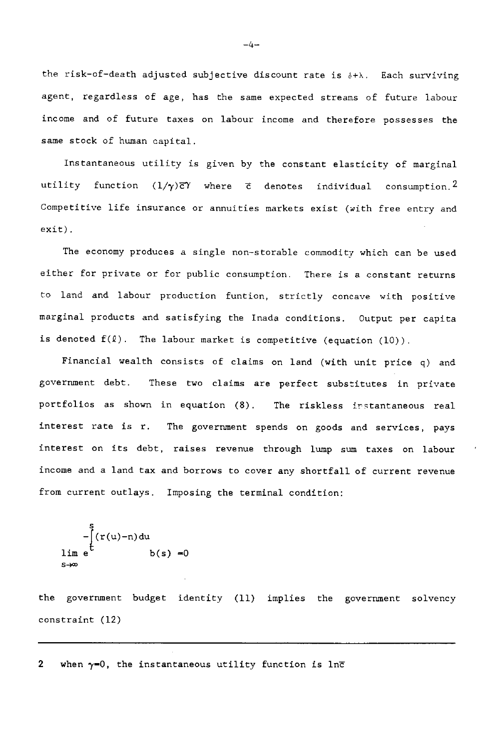the risk-of-death adjusted subjective discount rate is  $\delta + \lambda$ . Each surviving agent, regardless of age, has the same expected streams of future labour income and of future taxes on labour income and therefore possesses the same stock of human capital.

Instantaneous utility is given by the constant elasticity of marginal utility function  $(1/\gamma)\bar{c}\gamma$  where  $\bar{c}$  denotes individual consumption.<sup>2</sup> Competitive life insurance or annuities markets exist (with free entry and exit).

The economy produces a single non-storable commodity which can be used either for private or for public consumption. There is a constant returns to land and labour production funtion, strictly concave with positive marginal products and satisfying the Inada conditions. Output per capita is denoted  $f(\ell)$ . The labour market is competitive (equation  $(10)$ ).

Financial wealth consists of claims on land (with unit price q) and government debt. These two claims are perfect substitutes in private portfolios as shown in equation (8). The riskless instantaneous real interest rate is r. The government spends on goods and services, pays interest on its debt, raises revenue through lump sum taxes on labour income and a land tax and borrows to cover any shortfall of current revenue from current outlays. Imposing the terminal condition:

$$
-\int_{\sinh \theta}^{\sinh \theta} (r(u)-n) du
$$
\n
$$
\lim_{s \to \infty} e^{-\frac{1}{2}(r(u)-n)} dv(s) = 0
$$

the government budget identity (11) implies the government solvency constraint (12)

2 when  $\gamma=0$ , the instantaneous utility function is lnc

—4—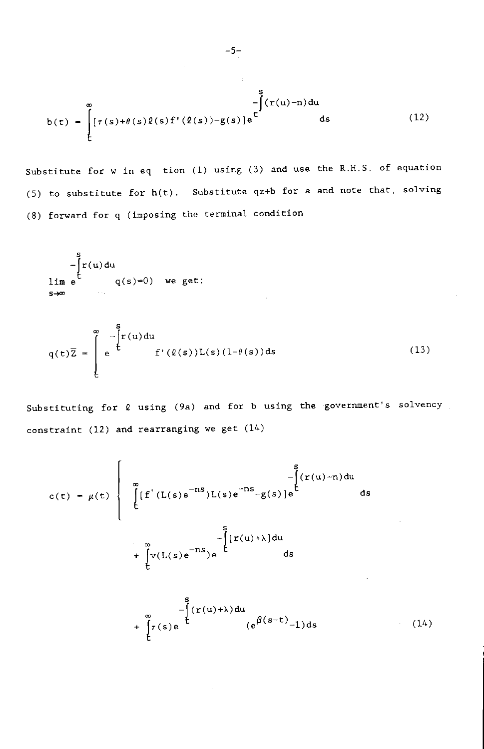$$
b(t) = \int_{t}^{\infty} [\tau(s) + \theta(s)\ell(s)f'(\ell(s)) - g(s)]e^{\int_{t}^{s} f(\tau(u) - \tau) du} ds
$$
 (12)

Substitute for w in eq tion (1) using (3) and use the R.H.S. of equation (5) to substitute for  $h(t)$ . Substitute qz+b for a and note that, solving (8) forward for q (imposing the terminal condition

$$
\lim_{s \to \infty} e^{t} \qquad \qquad q(s) = 0 \qquad \text{we get:}
$$

$$
q(t)\overline{Z} = \int_{0}^{\infty} e^{-\int_{0}^{s} \mathbf{r}(u) du} f'(\ell(s))L(s)(1-\theta(s))ds
$$
 (13)

Substituting for  $\ell$  using (9a) and for b using the government's solvency constraint (12) and rearranging we get (14)

$$
c(t) = \mu(t) \begin{cases} \int_{0}^{\infty} \left[ f'(L(s)e^{-TS})L(s)e^{-TS} - g(s) \right]e^{-\int_{0}^{s} (r(u)-r)du} ds \\ + \int_{0}^{\infty} v(L(s)e^{-TS})e^{-\int_{0}^{s} [r(u)+\lambda]du} ds \\ + \int_{0}^{\infty} r(s)e^{-\int_{0}^{s} (r(u)+\lambda)du} (e^{\beta(s-t)}-1)ds \end{cases}
$$
(14)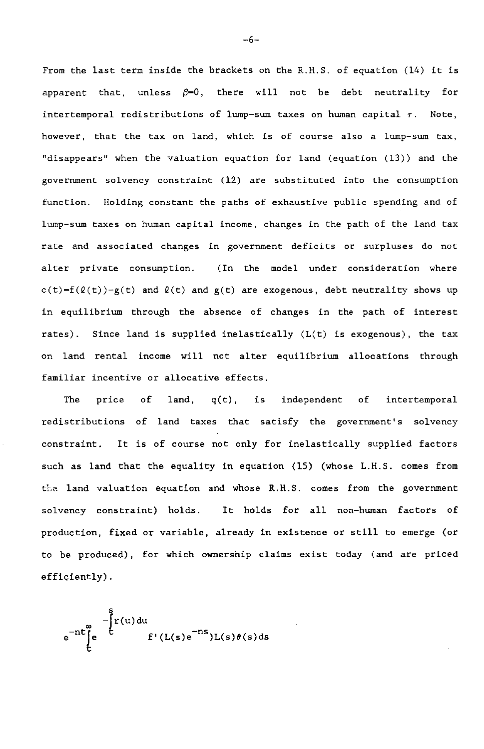From the last term inside the brackets on the R.H.S. of equation (14) it is apparent that, unless  $\beta=0$ , there will not be debt neutrality for intertemporal redistributions of lump-sum taxes on human capital  $\tau$ . Note, however, that the tax on land, which is of course also a lump—sum tax, "disappears' when the valuation equation for land (equation (13)) and the government solvency constraint (12) are substituted into the consumption function. Holding constant the paths of exhaustive public spending and of lump—sum taxes on human capital income, changes in the path of the land tax rate and associated changes in government deficits or surpluses do not alter private consumption. (In the model under consideration where  $c(t)=f(\ell(t))-\chi(t)$  and  $\ell(t)$  and  $g(t)$  are exogenous, debt neutrality shows up in equilibrium through the absence of changes in the path of interest rates). Since land is supplied inelastically (L(t) is exogenous), the tax on land rental income will not alter equilibrium allocations through familiar incentive or allocative effects.

The price of land,  $q(t)$ , is independent of intertemporal redistributions of land taxes that satisfy the government's solvency constraint. It is of course not only for inelastically supplied factors such as land that the equality in equation (15) (whose L.H.S. comes from the. land valuation equation and whose R.H.S. comes from the government solvency constraint) holds. It holds for all non—human factors of production, fixed or variable, already in existence or still to emerge (or to be produced), for which ownership claims exist today (and are priced efficiently).

$$
e^{-nt}\left\{e^{\int_{0}^{x}t^{\prime}(u)du}f'(L(s)e^{-ns})L(s)\theta(s)ds\right\}
$$

—6—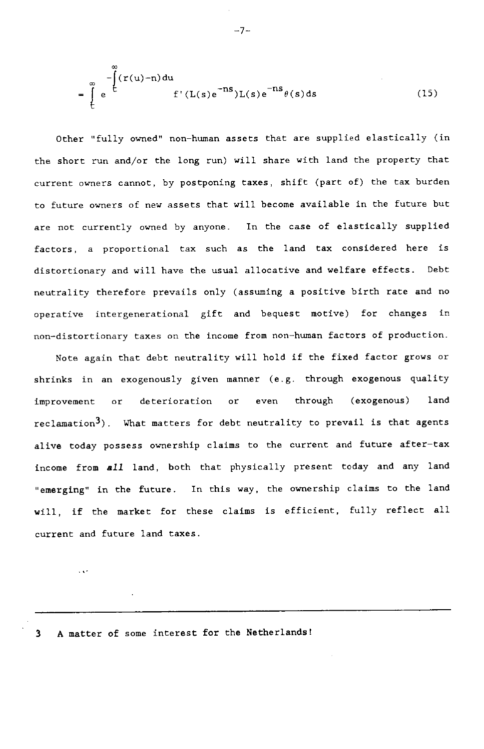$$
= \int_{t}^{\infty} e^{-\int_{t}^{\infty} (r(u)-n) du} f'(L(s)e^{-ns})L(s)e^{-ns}\theta(s) ds
$$
 (15)

Other "fully owned" non—human assets that are supplied elastically (in the short run and/or the long run) will share with land the property that current owners cannot, by postponing taxes, shift (part of) the tax burden to future owners of new assets that will become available in the future but are not currently owned by anyone. In the case of elastically supplied factors, a proportional tax such as the land tax considered here is distortionary and will have the usual allocative and welfare effects. Debt neutrality therefore prevails only (assuming a positive birth rate and no operative intergenerational gift and bequest motive) for changes in non—distortionary taxes on the income from non—human factors of production.

Note again that debt neutrality will hold if the fixed factor grows or shrinks in an exogenously given manner (e.g. through exogenous quality improvement or deterioration or even through (exogenous) land reclamation<sup>3</sup>). What matters for debt neutrality to prevail is that agents alive today possess ownership claims to the current and future after—tax income from all land, both that physically present today and any land "emerging" in the future. In this way, the ownership claims to the land will, if the market for these claims is efficient, fully reflect all current and future land taxes.

3 A matter of some interest for the Netherlands!

 $\cdots$ 

—7-.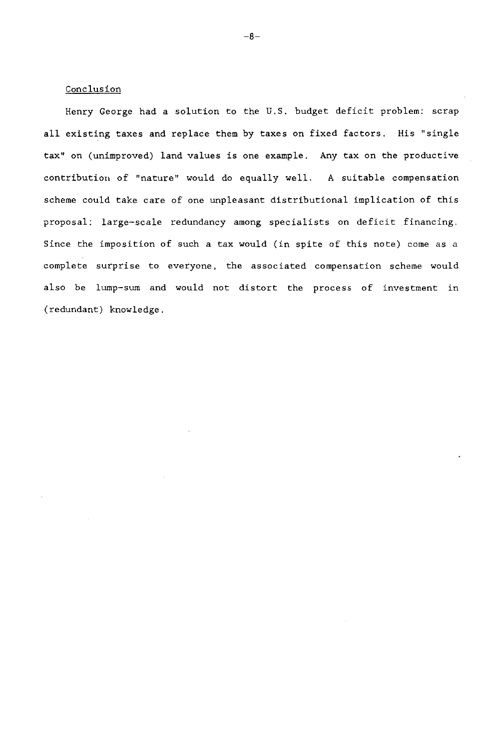## Conclusion

Henry George had a solution to the U.S. budget deficit problem: scrap all existing taxes and replace them by taxes on fixed factors. His "single tax" on (unimproved) land values is one example. Any tax on the productive contribution of "nature" would do equally well. A suitable compensation scheme could take care of one unpleasant distributional implication of this proposal: large—scale redundancy among specialists on deficit financing. Since the imposition of such a tax would (in spite of this note) come as a complete surprise to everyone, the associated compensation scheme would also be lump—sum and would not distort the process of investment in (redundant) knowledge.